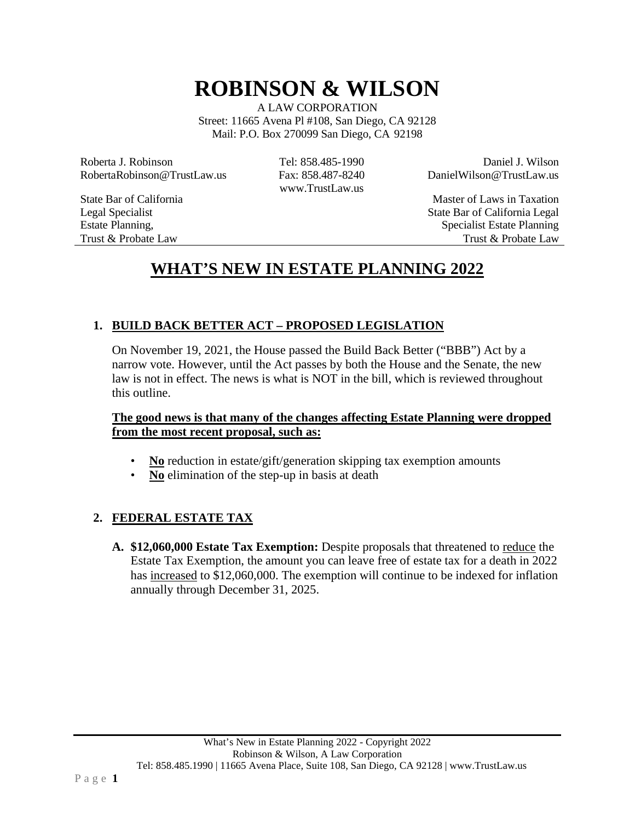# **ROBINSON & WILSON**

A LAW CORPORATION Street: 11665 Avena Pl #108, San Diego, CA 92128 Mail: P.O. Box 270099 San Diego, CA 92198

Roberta J. Robinson RobertaRobinson@TrustLaw.us Tel: 858.485-1990 Fax: 858.487-8240 [www.TrustLaw.us](http://www.trustlaw.us/)

State Bar of California Legal Specialist Estate Planning, Trust & Probate Law

Daniel J. Wilson [DanielWilson@TrustLaw.us](mailto:DanielWilson@TrustLaw.us)

Master of Laws in Taxation State Bar of California Legal Specialist Estate Planning Trust & Probate Law

# **WHAT'S NEW IN ESTATE PLANNING 2022**

# **1. BUILD BACK BETTER ACT – PROPOSED LEGISLATION**

On November 19, 2021, the House passed the Build Back Better ("BBB") Act by a narrow vote. However, until the Act passes by both the House and the Senate, the new law is not in effect. The news is what is NOT in the bill, which is reviewed throughout this outline.

#### **The good news is that many of the changes affecting Estate Planning were dropped from the most recent proposal, such as:**

- **No** reduction in estate/gift/generation skipping tax exemption amounts
- **No** elimination of the step-up in basis at death

# **2. FEDERAL ESTATE TAX**

**A. \$12,060,000 Estate Tax Exemption:** Despite proposals that threatened to reduce the Estate Tax Exemption, the amount you can leave free of estate tax for a death in 2022 has increased to \$12,060,000. The exemption will continue to be indexed for inflation annually through December 31, 2025.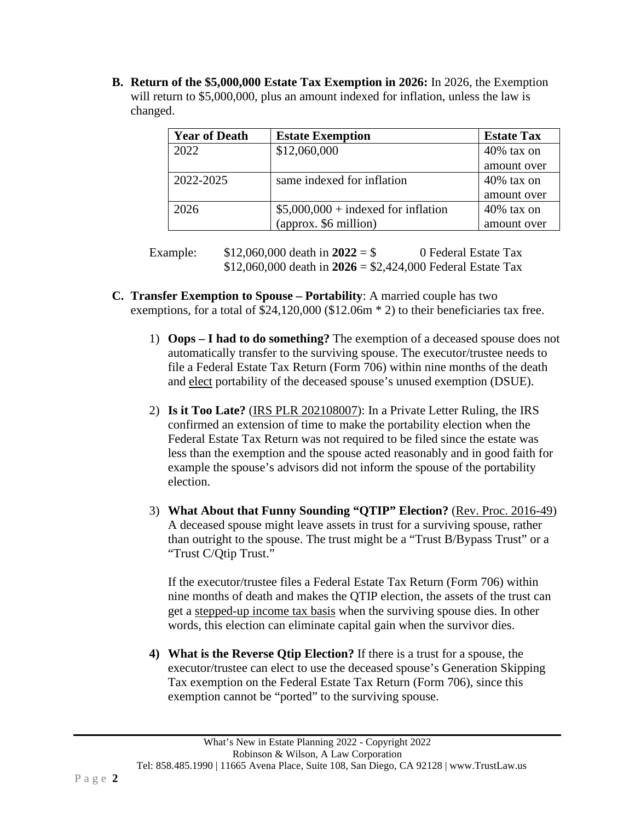**B. Return of the \$5,000,000 Estate Tax Exemption in 2026:** In 2026, the Exemption will return to \$5,000,000, plus an amount indexed for inflation, unless the law is changed.

| <b>Year of Death</b> | <b>Estate Exemption</b>              | <b>Estate Tax</b> |
|----------------------|--------------------------------------|-------------------|
| 2022                 | \$12,060,000                         | $40\%$ tax on     |
|                      |                                      | amount over       |
| 2022-2025            | same indexed for inflation           | $40\%$ tax on     |
|                      |                                      | amount over       |
| 2026                 | $$5,000,000 + indexed for inflation$ | $40\%$ tax on     |
|                      | (approx. \$6 million)                | amount over       |

Example:  $$12,060,000$  death in  $2022 = $$  0 Federal Estate Tax \$12,060,000 death in **2026** = \$2,424,000 Federal Estate Tax

- **C. Transfer Exemption to Spouse – Portability**: A married couple has two exemptions, for a total of \$24,120,000 (\$12.06m  $*$  2) to their beneficiaries tax free.
	- 1) **Oops – I had to do something?** The exemption of a deceased spouse does not automatically transfer to the surviving spouse. The executor/trustee needs to file a Federal Estate Tax Return (Form 706) within nine months of the death and elect portability of the deceased spouse's unused exemption (DSUE).
	- 2) **Is it Too Late?** (IRS PLR 202108007): In a Private Letter Ruling, the IRS confirmed an extension of time to make the portability election when the Federal Estate Tax Return was not required to be filed since the estate was less than the exemption and the spouse acted reasonably and in good faith for example the spouse's advisors did not inform the spouse of the portability election.
	- 3) **What About that Funny Sounding "QTIP" Election?** (Rev. Proc. 2016-49) A deceased spouse might leave assets in trust for a surviving spouse, rather than outright to the spouse. The trust might be a "Trust B/Bypass Trust" or a "Trust C/Qtip Trust."

If the executor/trustee files a Federal Estate Tax Return (Form 706) within nine months of death and makes the QTIP election, the assets of the trust can get a stepped-up income tax basis when the surviving spouse dies. In other words, this election can eliminate capital gain when the survivor dies.

**4) What is the Reverse Qtip Election?** If there is a trust for a spouse, the executor/trustee can elect to use the deceased spouse's Generation Skipping Tax exemption on the Federal Estate Tax Return (Form 706), since this exemption cannot be "ported" to the surviving spouse.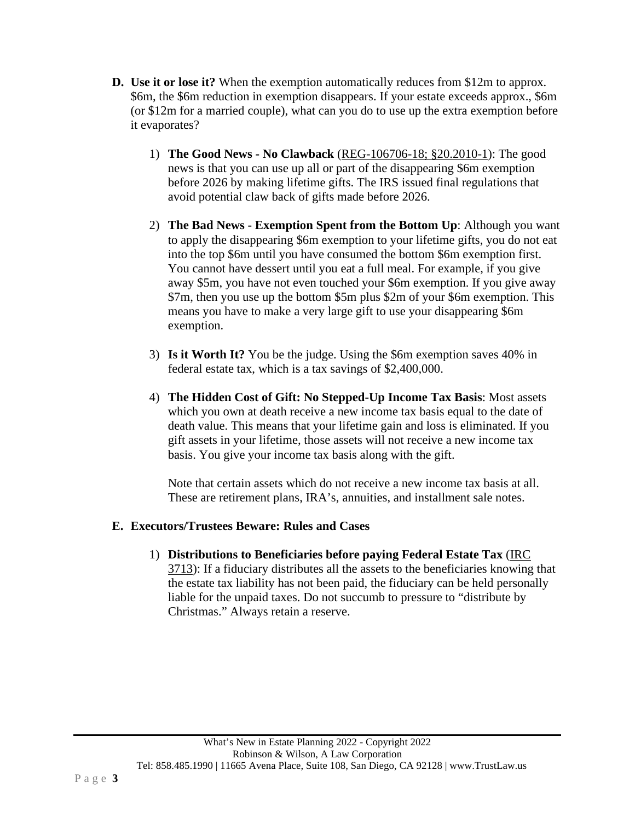- **D. Use it or lose it?** When the exemption automatically reduces from \$12m to approx. \$6m, the \$6m reduction in exemption disappears. If your estate exceeds approx., \$6m (or \$12m for a married couple), what can you do to use up the extra exemption before it evaporates?
	- 1) **The Good News - No Clawback** (REG-106706-18; §20.2010-1): The good news is that you can use up all or part of the disappearing \$6m exemption before 2026 by making lifetime gifts. The IRS issued final regulations that avoid potential claw back of gifts made before 2026.
	- 2) **The Bad News - Exemption Spent from the Bottom Up**: Although you want to apply the disappearing \$6m exemption to your lifetime gifts, you do not eat into the top \$6m until you have consumed the bottom \$6m exemption first. You cannot have dessert until you eat a full meal. For example, if you give away \$5m, you have not even touched your \$6m exemption. If you give away \$7m, then you use up the bottom \$5m plus \$2m of your \$6m exemption. This means you have to make a very large gift to use your disappearing \$6m exemption.
	- 3) **Is it Worth It?** You be the judge. Using the \$6m exemption saves 40% in federal estate tax, which is a tax savings of \$2,400,000.
	- 4) **The Hidden Cost of Gift: No Stepped-Up Income Tax Basis**: Most assets which you own at death receive a new income tax basis equal to the date of death value. This means that your lifetime gain and loss is eliminated. If you gift assets in your lifetime, those assets will not receive a new income tax basis. You give your income tax basis along with the gift.

Note that certain assets which do not receive a new income tax basis at all. These are retirement plans, IRA's, annuities, and installment sale notes.

#### **E. Executors/Trustees Beware: Rules and Cases**

1) **Distributions to Beneficiaries before paying Federal Estate Tax** (IRC 3713): If a fiduciary distributes all the assets to the beneficiaries knowing that the estate tax liability has not been paid, the fiduciary can be held personally liable for the unpaid taxes. Do not succumb to pressure to "distribute by Christmas." Always retain a reserve.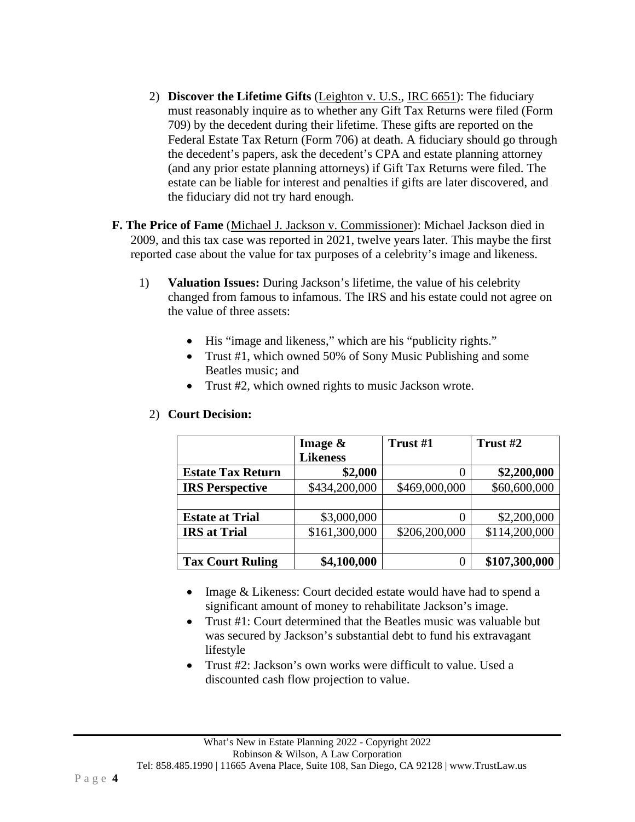- 2) **Discover the Lifetime Gifts** (Leighton v. U.S., IRC 6651): The fiduciary must reasonably inquire as to whether any Gift Tax Returns were filed (Form 709) by the decedent during their lifetime. These gifts are reported on the Federal Estate Tax Return (Form 706) at death. A fiduciary should go through the decedent's papers, ask the decedent's CPA and estate planning attorney (and any prior estate planning attorneys) if Gift Tax Returns were filed. The estate can be liable for interest and penalties if gifts are later discovered, and the fiduciary did not try hard enough.
- **F. The Price of Fame** (Michael J. Jackson v. Commissioner): Michael Jackson died in 2009, and this tax case was reported in 2021, twelve years later. This maybe the first reported case about the value for tax purposes of a celebrity's image and likeness.
	- 1) **Valuation Issues:** During Jackson's lifetime, the value of his celebrity changed from famous to infamous. The IRS and his estate could not agree on the value of three assets:
		- His "image and likeness," which are his "publicity rights."
		- Trust #1, which owned 50% of Sony Music Publishing and some Beatles music; and
		- Trust #2, which owned rights to music Jackson wrote.

|                          | Image $\&$      | Trust #1      | Trust #2      |
|--------------------------|-----------------|---------------|---------------|
|                          | <b>Likeness</b> |               |               |
| <b>Estate Tax Return</b> | \$2,000         | 0             | \$2,200,000   |
| <b>IRS Perspective</b>   | \$434,200,000   | \$469,000,000 | \$60,600,000  |
|                          |                 |               |               |
| <b>Estate at Trial</b>   | \$3,000,000     | 0             | \$2,200,000   |
| <b>IRS</b> at Trial      | \$161,300,000   | \$206,200,000 | \$114,200,000 |
|                          |                 |               |               |
| <b>Tax Court Ruling</b>  | \$4,100,000     |               | \$107,300,000 |

#### 2) **Court Decision:**

- Image & Likeness: Court decided estate would have had to spend a significant amount of money to rehabilitate Jackson's image.
- Trust #1: Court determined that the Beatles music was valuable but was secured by Jackson's substantial debt to fund his extravagant lifestyle
- Trust #2: Jackson's own works were difficult to value. Used a discounted cash flow projection to value.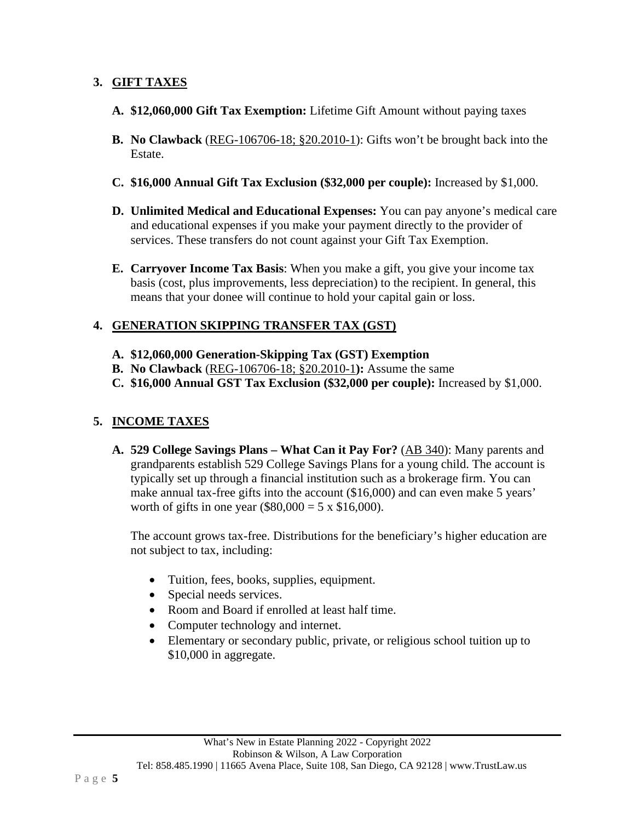# **3. GIFT TAXES**

- **A. \$12,060,000 Gift Tax Exemption:** Lifetime Gift Amount without paying taxes
- **B. No Clawback** (REG-106706-18; §20.2010-1): Gifts won't be brought back into the Estate.
- **C. \$16,000 Annual Gift Tax Exclusion (\$32,000 per couple):** Increased by \$1,000.
- **D. Unlimited Medical and Educational Expenses:** You can pay anyone's medical care and educational expenses if you make your payment directly to the provider of services. These transfers do not count against your Gift Tax Exemption.
- **E. Carryover Income Tax Basis**: When you make a gift, you give your income tax basis (cost, plus improvements, less depreciation) to the recipient. In general, this means that your donee will continue to hold your capital gain or loss.

#### **4. GENERATION SKIPPING TRANSFER TAX (GST)**

- **A. \$12,060,000 Generation-Skipping Tax (GST) Exemption**
- **B. No Clawback** (REG-106706-18; §20.2010-1**):** Assume the same
- **C. \$16,000 Annual GST Tax Exclusion (\$32,000 per couple):** Increased by \$1,000.

# **5. INCOME TAXES**

**A. 529 College Savings Plans – What Can it Pay For?** (AB 340): Many parents and grandparents establish 529 College Savings Plans for a young child. The account is typically set up through a financial institution such as a brokerage firm. You can make annual tax-free gifts into the account (\$16,000) and can even make 5 years' worth of gifts in one year  $(\$80,000 = 5 \times \$16,000)$ .

The account grows tax-free. Distributions for the beneficiary's higher education are not subject to tax, including:

- Tuition, fees, books, supplies, equipment.
- Special needs services.
- Room and Board if enrolled at least half time.
- Computer technology and internet.
- Elementary or secondary public, private, or religious school tuition up to \$10,000 in aggregate.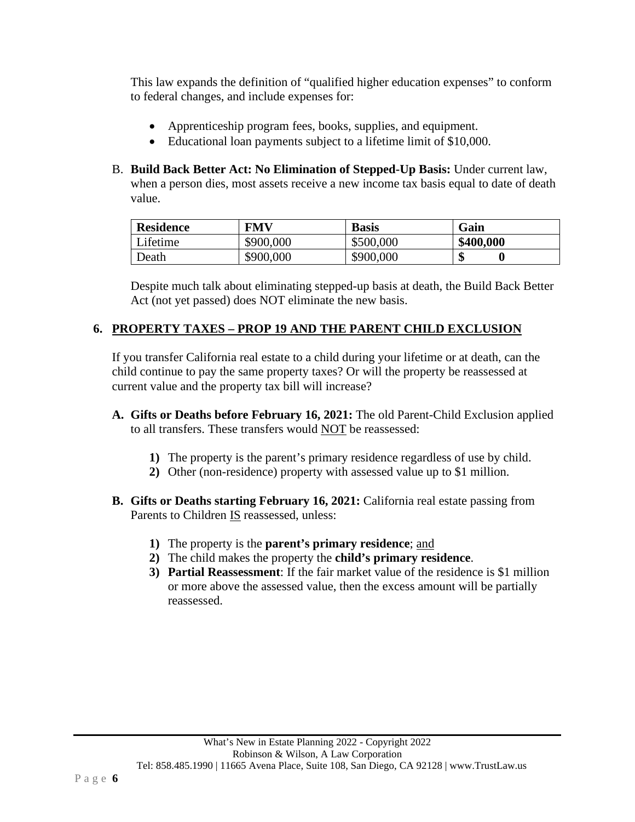This law expands the definition of "qualified higher education expenses" to conform to federal changes, and include expenses for:

- Apprenticeship program fees, books, supplies, and equipment.
- Educational loan payments subject to a lifetime limit of \$10,000.
- B. **Build Back Better Act: No Elimination of Stepped-Up Basis:** Under current law, when a person dies, most assets receive a new income tax basis equal to date of death value.

| <b>Residence</b> | <b>FMV</b> | <b>Basis</b> | Gain      |
|------------------|------------|--------------|-----------|
| Lifetime         | \$900,000  | \$500,000    | \$400,000 |
| Death            | \$900,000  | \$900,000    | ጡ<br>٨D   |

Despite much talk about eliminating stepped-up basis at death, the Build Back Better Act (not yet passed) does NOT eliminate the new basis.

# **6. PROPERTY TAXES – PROP 19 AND THE PARENT CHILD EXCLUSION**

If you transfer California real estate to a child during your lifetime or at death, can the child continue to pay the same property taxes? Or will the property be reassessed at current value and the property tax bill will increase?

- **A. Gifts or Deaths before February 16, 2021:** The old Parent-Child Exclusion applied to all transfers. These transfers would NOT be reassessed:
	- **1)** The property is the parent's primary residence regardless of use by child.
	- **2)** Other (non-residence) property with assessed value up to \$1 million.
- **B. Gifts or Deaths starting February 16, 2021:** California real estate passing from Parents to Children IS reassessed, unless:
	- **1)** The property is the **parent's primary residence**; and
	- **2)** The child makes the property the **child's primary residence**.
	- **3) Partial Reassessment**: If the fair market value of the residence is \$1 million or more above the assessed value, then the excess amount will be partially reassessed.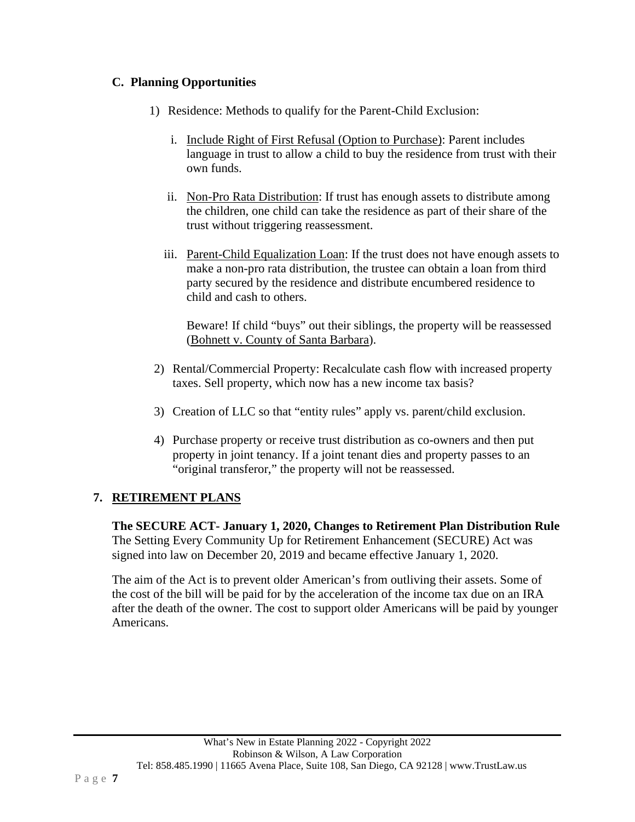# **C. Planning Opportunities**

- 1) Residence: Methods to qualify for the Parent-Child Exclusion:
	- i. Include Right of First Refusal (Option to Purchase): Parent includes language in trust to allow a child to buy the residence from trust with their own funds.
	- ii. Non-Pro Rata Distribution: If trust has enough assets to distribute among the children, one child can take the residence as part of their share of the trust without triggering reassessment.
	- iii. Parent-Child Equalization Loan: If the trust does not have enough assets to make a non-pro rata distribution, the trustee can obtain a loan from third party secured by the residence and distribute encumbered residence to child and cash to others.

Beware! If child "buys" out their siblings, the property will be reassessed (Bohnett v. County of Santa Barbara).

- 2) Rental/Commercial Property: Recalculate cash flow with increased property taxes. Sell property, which now has a new income tax basis?
- 3) Creation of LLC so that "entity rules" apply vs. parent/child exclusion.
- 4) Purchase property or receive trust distribution as co-owners and then put property in joint tenancy. If a joint tenant dies and property passes to an "original transferor," the property will not be reassessed.

# **7. RETIREMENT PLANS**

**The SECURE ACT- January 1, 2020, Changes to Retirement Plan Distribution Rule** The Setting Every Community Up for Retirement Enhancement (SECURE) Act was signed into law on December 20, 2019 and became effective January 1, 2020.

The aim of the Act is to prevent older American's from outliving their assets. Some of the cost of the bill will be paid for by the acceleration of the income tax due on an IRA after the death of the owner. The cost to support older Americans will be paid by younger Americans.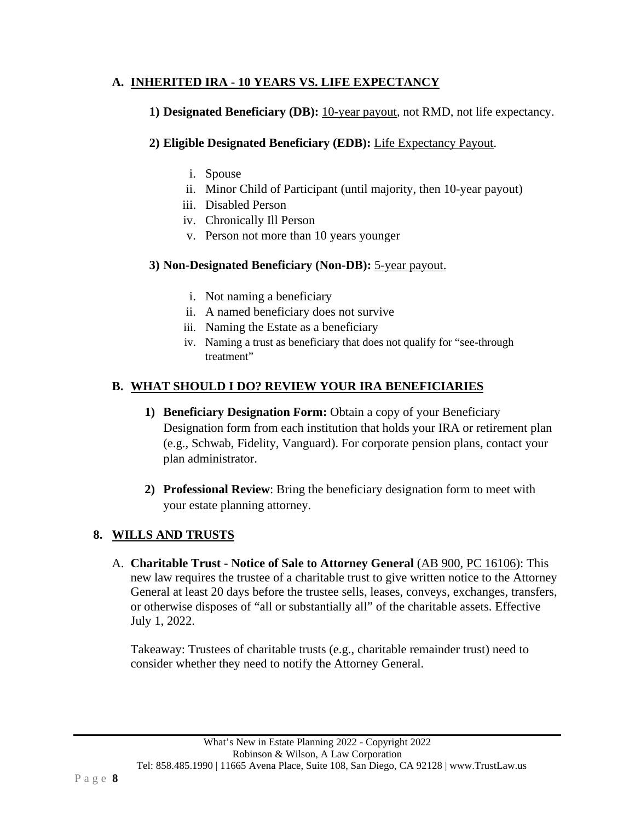#### **A. INHERITED IRA - 10 YEARS VS. LIFE EXPECTANCY**

#### **1) Designated Beneficiary (DB):** 10-year payout, not RMD, not life expectancy.

#### **2) Eligible Designated Beneficiary (EDB):** Life Expectancy Payout.

- i. Spouse
- ii. Minor Child of Participant (until majority, then 10-year payout)
- iii. Disabled Person
- iv. Chronically Ill Person
- v. Person not more than 10 years younger

#### **3) Non-Designated Beneficiary (Non-DB):** 5-year payout.

- i. Not naming a beneficiary
- ii. A named beneficiary does not survive
- iii. Naming the Estate as a beneficiary
- iv. Naming a trust as beneficiary that does not qualify for "see-through treatment"

#### **B. WHAT SHOULD I DO? REVIEW YOUR IRA BENEFICIARIES**

- **1) Beneficiary Designation Form:** Obtain a copy of your Beneficiary Designation form from each institution that holds your IRA or retirement plan (e.g., Schwab, Fidelity, Vanguard). For corporate pension plans, contact your plan administrator.
- **2) Professional Review**: Bring the beneficiary designation form to meet with your estate planning attorney.

#### **8. WILLS AND TRUSTS**

A. **Charitable Trust - Notice of Sale to Attorney General** (AB 900, PC 16106): This new law requires the trustee of a charitable trust to give written notice to the Attorney General at least 20 days before the trustee sells, leases, conveys, exchanges, transfers, or otherwise disposes of "all or substantially all" of the charitable assets. Effective July 1, 2022.

Takeaway: Trustees of charitable trusts (e.g., charitable remainder trust) need to consider whether they need to notify the Attorney General.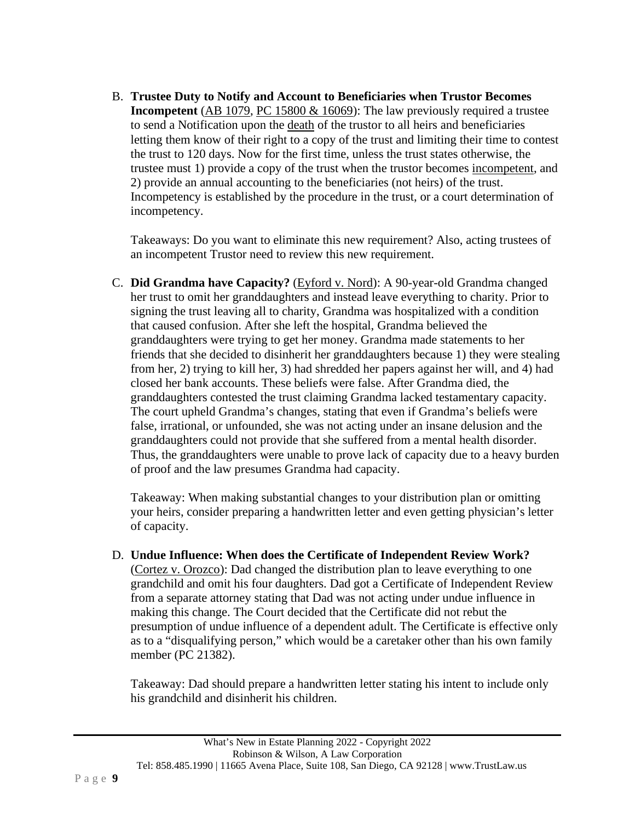B. **Trustee Duty to Notify and Account to Beneficiaries when Trustor Becomes Incompetent** (AB 1079, PC 15800 & 16069): The law previously required a trustee to send a Notification upon the death of the trustor to all heirs and beneficiaries letting them know of their right to a copy of the trust and limiting their time to contest the trust to 120 days. Now for the first time, unless the trust states otherwise, the trustee must 1) provide a copy of the trust when the trustor becomes incompetent, and 2) provide an annual accounting to the beneficiaries (not heirs) of the trust. Incompetency is established by the procedure in the trust, or a court determination of incompetency.

Takeaways: Do you want to eliminate this new requirement? Also, acting trustees of an incompetent Trustor need to review this new requirement.

C. **Did Grandma have Capacity?** (Eyford v. Nord): A 90-year-old Grandma changed her trust to omit her granddaughters and instead leave everything to charity. Prior to signing the trust leaving all to charity, Grandma was hospitalized with a condition that caused confusion. After she left the hospital, Grandma believed the granddaughters were trying to get her money. Grandma made statements to her friends that she decided to disinherit her granddaughters because 1) they were stealing from her, 2) trying to kill her, 3) had shredded her papers against her will, and 4) had closed her bank accounts. These beliefs were false. After Grandma died, the granddaughters contested the trust claiming Grandma lacked testamentary capacity. The court upheld Grandma's changes, stating that even if Grandma's beliefs were false, irrational, or unfounded, she was not acting under an insane delusion and the granddaughters could not provide that she suffered from a mental health disorder. Thus, the granddaughters were unable to prove lack of capacity due to a heavy burden of proof and the law presumes Grandma had capacity.

Takeaway: When making substantial changes to your distribution plan or omitting your heirs, consider preparing a handwritten letter and even getting physician's letter of capacity.

D. **Undue Influence: When does the Certificate of Independent Review Work?** (Cortez v. Orozco): Dad changed the distribution plan to leave everything to one grandchild and omit his four daughters. Dad got a Certificate of Independent Review from a separate attorney stating that Dad was not acting under undue influence in making this change. The Court decided that the Certificate did not rebut the presumption of undue influence of a dependent adult. The Certificate is effective only as to a "disqualifying person," which would be a caretaker other than his own family member (PC 21382).

Takeaway: Dad should prepare a handwritten letter stating his intent to include only his grandchild and disinherit his children.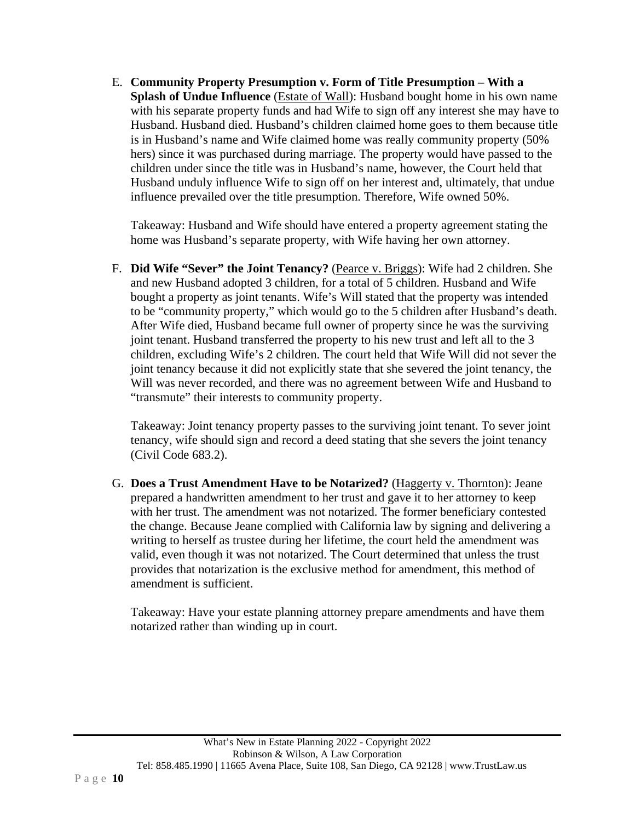E. **Community Property Presumption v. Form of Title Presumption – With a Splash of Undue Influence** (Estate of Wall): Husband bought home in his own name with his separate property funds and had Wife to sign off any interest she may have to Husband. Husband died. Husband's children claimed home goes to them because title is in Husband's name and Wife claimed home was really community property (50% hers) since it was purchased during marriage. The property would have passed to the children under since the title was in Husband's name, however, the Court held that Husband unduly influence Wife to sign off on her interest and, ultimately, that undue influence prevailed over the title presumption. Therefore, Wife owned 50%.

Takeaway: Husband and Wife should have entered a property agreement stating the home was Husband's separate property, with Wife having her own attorney.

F. **Did Wife "Sever" the Joint Tenancy?** (Pearce v. Briggs): Wife had 2 children. She and new Husband adopted 3 children, for a total of 5 children. Husband and Wife bought a property as joint tenants. Wife's Will stated that the property was intended to be "community property," which would go to the 5 children after Husband's death. After Wife died, Husband became full owner of property since he was the surviving joint tenant. Husband transferred the property to his new trust and left all to the 3 children, excluding Wife's 2 children. The court held that Wife Will did not sever the joint tenancy because it did not explicitly state that she severed the joint tenancy, the Will was never recorded, and there was no agreement between Wife and Husband to "transmute" their interests to community property.

Takeaway: Joint tenancy property passes to the surviving joint tenant. To sever joint tenancy, wife should sign and record a deed stating that she severs the joint tenancy (Civil Code 683.2).

G. **Does a Trust Amendment Have to be Notarized?** (Haggerty v. Thornton): Jeane prepared a handwritten amendment to her trust and gave it to her attorney to keep with her trust. The amendment was not notarized. The former beneficiary contested the change. Because Jeane complied with California law by signing and delivering a writing to herself as trustee during her lifetime, the court held the amendment was valid, even though it was not notarized. The Court determined that unless the trust provides that notarization is the exclusive method for amendment, this method of amendment is sufficient.

Takeaway: Have your estate planning attorney prepare amendments and have them notarized rather than winding up in court.